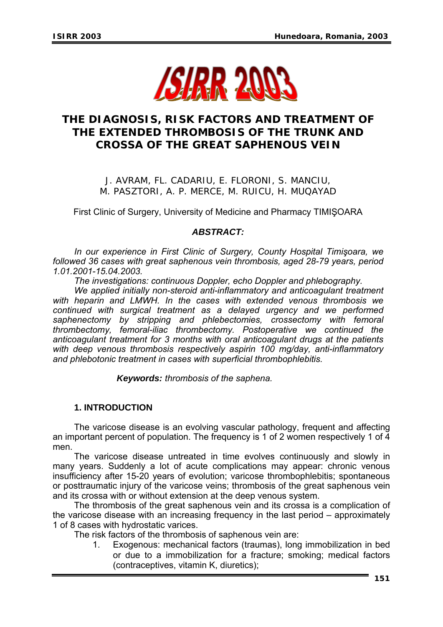

# **THE DIAGNOSIS, RISK FACTORS AND TREATMENT OF THE EXTENDED THROMBOSIS OF THE TRUNK AND CROSSA OF THE GREAT SAPHENOUS VEIN**

J. AVRAM, FL. CADARIU, E. FLORONI, S. MANCIU, M. PASZTORI, A. P. MERCE, M. RUICU, H. MUQAYAD

First Clinic of Surgery, University of Medicine and Pharmacy TIMIŞOARA

## *ABSTRACT:*

*In our experience in First Clinic of Surgery, County Hospital Timişoara, we followed 36 cases with great saphenous vein thrombosis, aged 28-79 years, period 1.01.2001-15.04.2003.* 

*The investigations: continuous Doppler, echo Doppler and phlebography.* 

We applied initially non-steroid anti-inflammatory and anticoagulant treatment *with heparin and LMWH. In the cases with extended venous thrombosis we continued with surgical treatment as a delayed urgency and we performed saphenectomy by stripping and phlebectomies, crossectomy with femoral thrombectomy, femoral-iliac thrombectomy. Postoperative we continued the anticoagulant treatment for 3 months with oral anticoagulant drugs at the patients with deep venous thrombosis respectively aspirin 100 mg/day, anti-inflammatory and phlebotonic treatment in cases with superficial thrombophlebitis.* 

*Keywords: thrombosis of the saphena.* 

## **1. INTRODUCTION**

The varicose disease is an evolving vascular pathology, frequent and affecting an important percent of population. The frequency is 1 of 2 women respectively 1 of 4 men.

The varicose disease untreated in time evolves continuously and slowly in many years. Suddenly a lot of acute complications may appear: chronic venous insufficiency after 15-20 years of evolution; varicose thrombophlebitis; spontaneous or posttraumatic injury of the varicose veins; thrombosis of the great saphenous vein and its crossa with or without extension at the deep venous system.

The thrombosis of the great saphenous vein and its crossa is a complication of the varicose disease with an increasing frequency in the last period – approximately 1 of 8 cases with hydrostatic varices.

The risk factors of the thrombosis of saphenous vein are:

1. Exogenous: mechanical factors (traumas), long immobilization in bed or due to a immobilization for a fracture; smoking; medical factors (contraceptives, vitamin K, diuretics);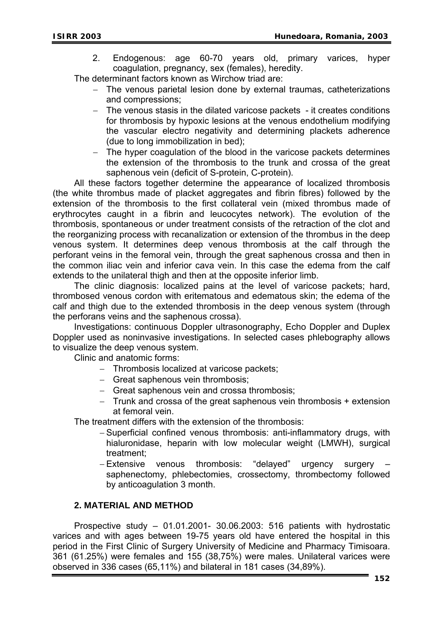2. Endogenous: age 60-70 years old, primary varices, hyper coagulation, pregnancy, sex (females), heredity.

The determinant factors known as Wirchow triad are:

- − The venous parietal lesion done by external traumas, catheterizations and compressions;
- − The venous stasis in the dilated varicose packets it creates conditions for thrombosis by hypoxic lesions at the venous endothelium modifying the vascular electro negativity and determining plackets adherence (due to long immobilization in bed);
- − The hyper coagulation of the blood in the varicose packets determines the extension of the thrombosis to the trunk and crossa of the great saphenous vein (deficit of S-protein, C-protein).

All these factors together determine the appearance of localized thrombosis (the white thrombus made of placket aggregates and fibrin fibres) followed by the extension of the thrombosis to the first collateral vein (mixed thrombus made of erythrocytes caught in a fibrin and leucocytes network). The evolution of the thrombosis, spontaneous or under treatment consists of the retraction of the clot and the reorganizing process with recanalization or extension of the thrombus in the deep venous system. It determines deep venous thrombosis at the calf through the perforant veins in the femoral vein, through the great saphenous crossa and then in the common iliac vein and inferior cava vein. In this case the edema from the calf extends to the unilateral thigh and then at the opposite inferior limb.

The clinic diagnosis: localized pains at the level of varicose packets; hard, thrombosed venous cordon with eritematous and edematous skin; the edema of the calf and thigh due to the extended thrombosis in the deep venous system (through the perforans veins and the saphenous crossa).

Investigations: continuous Doppler ultrasonography, Echo Doppler and Duplex Doppler used as noninvasive investigations. In selected cases phlebography allows to visualize the deep venous system.

Clinic and anatomic forms:

- − Thrombosis localized at varicose packets;
- − Great saphenous vein thrombosis;
- − Great saphenous vein and crossa thrombosis;
- − Trunk and crossa of the great saphenous vein thrombosis + extension at femoral vein.

The treatment differs with the extension of the thrombosis:

- − Superficial confined venous thrombosis: anti-inflammatory drugs, with hialuronidase, heparin with low molecular weight (LMWH), surgical treatment;
- − Extensive venous thrombosis: "delayed" urgency surgery saphenectomy, phlebectomies, crossectomy, thrombectomy followed by anticoagulation 3 month.

# **2. MATERIAL AND METHOD**

Prospective study – 01.01.2001- 30.06.2003: 516 patients with hydrostatic varices and with ages between 19-75 years old have entered the hospital in this period in the First Clinic of Surgery University of Medicine and Pharmacy Timisoara. 361 (61.25%) were females and 155 (38,75%) were males. Unilateral varices were observed in 336 cases (65,11%) and bilateral in 181 cases (34,89%).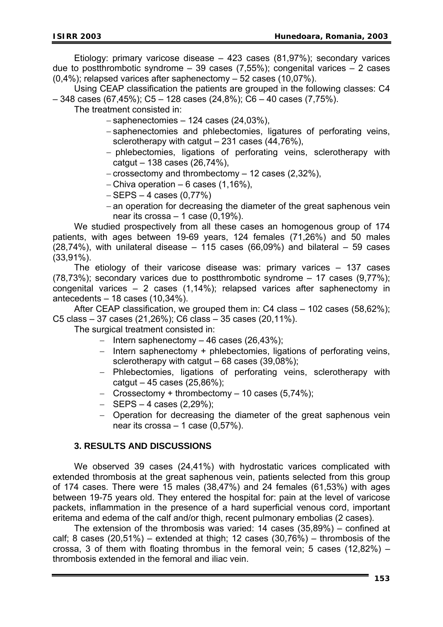Etiology: primary varicose disease – 423 cases (81,97%); secondary varices due to postthrombotic syndrome  $-39$  cases (7,55%); congenital varices  $-2$  cases (0,4%); relapsed varices after saphenectomy – 52 cases (10,07%).

Using CEAP classification the patients are grouped in the following classes: C4  $-$  348 cases (67,45%); C5 – 128 cases (24,8%); C6 – 40 cases (7,75%).

The treatment consisted in:

- − saphenectomies 124 cases (24,03%),
- − saphenectomies and phlebectomies, ligatures of perforating veins, sclerotherapy with catgut – 231 cases (44,76%),
- − phlebectomies, ligations of perforating veins, sclerotherapy with catgut – 138 cases (26,74%),
- − crossectomy and thrombectomy 12 cases (2,32%),
- − Chiva operation 6 cases (1,16%),
- − SEPS 4 cases (0,77%)
- − an operation for decreasing the diameter of the great saphenous vein near its crossa  $-1$  case (0,19%).

We studied prospectively from all these cases an homogenous group of 174 patients, with ages between 19-69 years, 124 females (71,26%) and 50 males  $(28,74%)$ , with unilateral disease – 115 cases  $(66,09%)$  and bilateral – 59 cases (33,91%).

The etiology of their varicose disease was: primary varices – 137 cases (78,73%); secondary varices due to postthrombotic syndrome – 17 cases (9,77%); congenital varices – 2 cases (1,14%); relapsed varices after saphenectomy in antecedents – 18 cases (10,34%).

After CEAP classification, we grouped them in: C4 class – 102 cases (58,62%); C5 class – 37 cases (21,26%); C6 class – 35 cases (20,11%).

The surgical treatment consisted in:

- − Intern saphenectomy 46 cases (26,43%);
- − Intern saphenectomy + phlebectomies, ligations of perforating veins, sclerotherapy with catgut  $-68$  cases (39,08%);
- − Phlebectomies, ligations of perforating veins, sclerotherapy with catgut – 45 cases  $(25,86\%)$ ;
- − Crossectomy + thrombectomy 10 cases (5,74%);
- − SEPS 4 cases (2,29%);
- − Operation for decreasing the diameter of the great saphenous vein near its crossa  $-1$  case (0,57%).

### **3. RESULTS AND DISCUSSIONS**

We observed 39 cases (24,41%) with hydrostatic varices complicated with extended thrombosis at the great saphenous vein, patients selected from this group of 174 cases. There were 15 males (38,47%) and 24 females (61,53%) with ages between 19-75 years old. They entered the hospital for: pain at the level of varicose packets, inflammation in the presence of a hard superficial venous cord, important eritema and edema of the calf and/or thigh, recent pulmonary embolias (2 cases).

The extension of the thrombosis was varied: 14 cases (35,89%) – confined at calf; 8 cases  $(20,51\%)$  – extended at thigh; 12 cases  $(30,76\%)$  – thrombosis of the crossa, 3 of them with floating thrombus in the femoral vein; 5 cases  $(12,82\%)$  – thrombosis extended in the femoral and iliac vein.